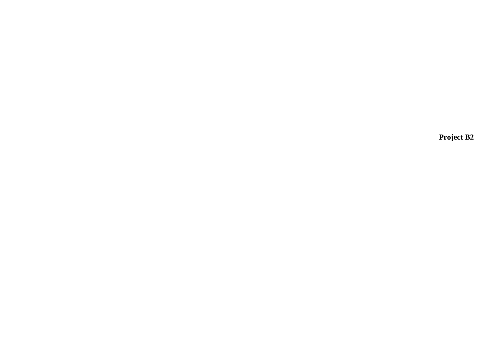**Project B2**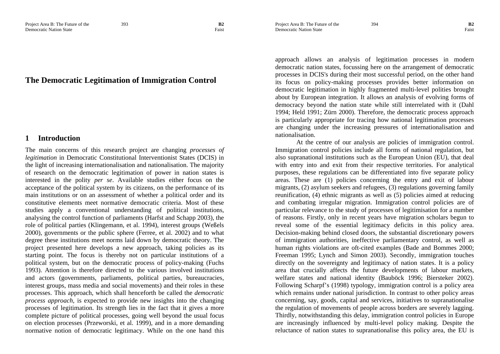### Project Area B: The Future of the 394 **B2** Democratic Nation State Faist **Faist**

# **The Democratic Legitimation of Immigration Control**

#### **1Introduction**

The main concerns of this research project are changing *processes of legitimation* in Democratic Constitutional Interventionist States (DCIS) in the light of increasing internationalisation and nationalisation. The majority of research on the democratic legitimation of power in nation states is interested in the polity *per se*. Available studies either focus on the acceptance of the political system by its citizens, on the performance of its main institutions or on an assessment of whether a political order and its constitutive elements meet normative democratic criteria. Most of these studies apply a conventional understanding of political institutions, analysing the control function of parliaments (Harfst and Schapp 2003), the role of political parties (Klingemann, et al. 1994), interest groups (Weßels 2000), governments or the public sphere (Ferree, et al. 2002) and to what degree these institutions meet norms laid down by democratic theory. The project presented here develops a new approach, taking policies as its starting point. The focus is thereby not on particular institutions of a political system, but on the democratic process of policy-making (Fuchs 1993). Attention is therefore directed to the various involved institutions and actors (governments, parliaments, political parties, bureaucracies, interest groups, mass media and social movements) and their roles in these processes. This approach, which shall henceforth be called the *democratic process approach*, is expected to provide new insights into the changing processes of legitimation. Its strength lies in the fact that it gives a more complete picture of political processes, going well beyond the usual focus on election processes (Przeworski, et al. 1999), and in a more demanding normative notion of democratic legitimacy. While on the one hand this

approach allows an analysis of legitimation processes in modern democratic nation states, focussing here on the arrangement of democratic processes in DCIS's during their most successful period, on the other hand its focus on policy-making processes provides better information on democratic legitimation in highly fragmented multi-level polities brought about by European integration. It allows an analysis of evolving forms of democracy beyond the nation state while still interrelated with it (Dahl 1994; Held 1991; Zürn 2000). Therefore, the democratic process approach is particularly appropriate for tracing how national legitimation processes are changing under the increasing pressures of internationalisation and nationalisation.

At the centre of our analysis are policies of immigration control. Immigration control policies include all forms of national regulation, but also supranational institutions such as the European Union (EU), that deal with entry into and exit from their respective territories. For analytical purposes, these regulations can be differentiated into five separate policy areas. These are (1) policies concerning the entry and exit of labour migrants, (2) asylum seekers and refugees, (3) regulations governing family reunification, (4) ethnic migrants as well as (5) policies aimed at reducing and combating irregular migration. Immigration control policies are of particular relevance to the study of processes of legitimisation for a number of reasons. Firstly, only in recent years have migration scholars begun to reveal some of the essential legitimacy deficits in this policy area. Decision-making behind closed doors, the substantial discretionary powers of immigration authorities, ineffective parliamentary control, as well as human rights violations are oft-cited examples (Bade and Bommes 2000; Freeman 1995; Lynch and Simon 2003). Secondly, immigration touches directly on the sovereignty and legitimacy of nation states. It is a policy area that crucially affects the future developments of labour markets, welfare states and national identity (Bauböck 1996; Biersteker 2002). Following Scharpf's (1998) typology, immigration control is a policy area which remains under national jurisdiction. In contrast to other policy areas concerning, say, goods, capital and services, initiatives to supranationalise the regulation of movements of people across borders are severely lagging. Thirdly, notwithstanding this delay, immigration control policies in Europe are increasingly influenced by multi-level policy making. Despite the reluctance of nation states to supranationalise this policy area, the EU is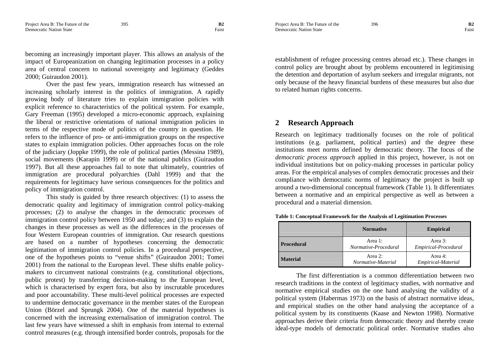becoming an increasingly important player. This allows an analysis of the impact of Europeanization on changing legitimation processes in a policy area of central concern to national sovereignty and legitimacy (Geddes 2000; Guiraudon 2001).

Over the past few years, immigration research has witnessed an increasing scholarly interest in the politics of immigration. A rapidly growing body of literature tries to explain immigration policies with explicit reference to characteristics of the political system. For example, Gary Freeman (1995) developed a micro-economic approach, explaining the liberal or restrictive orientations of national immigration policies in terms of the respective mode of politics of the country in question. He refers to the influence of pro- or anti-immigration groups on the respective states to explain immigration policies. Other approaches focus on the role of the judiciary (Joppke 1999), the role of political parties (Messina 1989), social movements (Karapin 1999) or of the national publics (Guiraudon 1997). But all these approaches fail to note that ultimately, countries of immigration are procedural polyarchies (Dahl 1999) and that the requirements for legitimacy have serious consequences for the politics and policy of immigration control.

This study is guided by three research objectives: (1) to assess the democratic quality and legitimacy of immigration control policy-making processes; (2) to analyse the changes in the democratic processes of immigration control policy between 1950 and today; and (3) to explain the changes in these processes as well as the differences in the processes of four Western European countries of immigration. Our research questions are based on a number of hypotheses concerning the democratic legitimation of immigration control policies. In a procedural perspective, one of the hypotheses points to "venue shifts" (Guiraudon 2001; Tomei 2001) from the national to the European level. These shifts enable policymakers to circumvent national constraints (e.g. constitutional objections, public protest) by transferring decision-making to the European level, which is characterised by expert fora, but also by inscrutable procedures and poor accountability. These multi-level political processes are expected to undermine democratic governance in the member states of the European Union (Börzel and Sprungk 2004). One of the material hypotheses is concerned with the increasing externalisation of immigration control. The last few years have witnessed a shift in emphasis from internal to external control measures (e.g. through intensified border controls, proposals for the Project Area B: The Future of the 396 **B2** Democratic Nation State Faist **Faist** 

establishment of refugee processing centres abroad etc.). These changes in control policy are brought about by problems encountered in legitimising the detention and deportation of asylum seekers and irregular migrants, not only because of the heavy financial burdens of these measures but also due to related human rights concerns.

#### **2Research Approach**

Research on legitimacy traditionally focuses on the role of political institutions (e.g. parliament, political parties) and the degree these institutions meet norms defined by democratic theory. The focus of the *democratic process approach* applied in this project, however, is not on individual institutions but on policy-making processes in particular policy areas. For the empirical analyses of complex democratic processes and their compliance with democratic norms of legitimacy the project is built up around a two-dimensional conceptual framework (Table 1). It differentiates between a normative and an empirical perspective as well as between a procedural and a material dimension.

|                   | <b>Normative</b>                        | <b>Empirical</b>                        |
|-------------------|-----------------------------------------|-----------------------------------------|
| <b>Procedural</b> | Area 1:<br>Normative-Procedural         | Area 3:<br>Empirical-Procedural         |
| <b>Material</b>   | Area $2$ :<br><i>Normative-Material</i> | Area $4$ :<br><i>Empirical-Material</i> |

**Table 1: Conceptual Framework for the Analysis of Legitimation Processes** 

The first differentiation is a common differentiation between two research traditions in the context of legitimacy studies, with normative and normative empirical studies on the one hand analysing the validity of a political system (Habermas 1973) on the basis of abstract normative ideas, and empirical studies on the other hand analysing the acceptance of a political system by its constituents (Kaase and Newton 1998). Normative approaches derive their criteria from democratic theory and thereby create ideal-type models of democratic political order. Normative studies also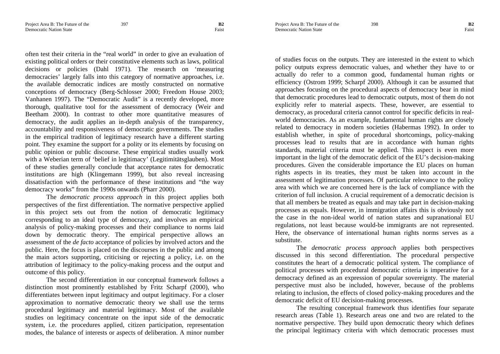often test their criteria in the "real world" in order to give an evaluation of existing political orders or their constitutive elements such as laws, political decisions or policies (Dahl 1971). The research on 'measuring democracies' largely falls into this category of normative approaches, i.e. the available democratic indices are mostly constructed on normative conceptions of democracy (Berg-Schlosser 2000; Freedom House 2003; Vanhanen 1997). The "Democratic Audit" is a recently developed, more thorough, qualitative tool for the assessment of democracy (Weir and Beetham 2000). In contrast to other more quantitative measures of democracy, the audit applies an in-depth analysis of the transparency, accountability and responsiveness of democratic governments. The studies in the empirical tradition of legitimacy research have a different starting point. They examine the support for a polity or its elements by focusing on public opinion or public discourse. These empirical studies usually work with a Weberian term of 'belief in legitimacy' (Legitimitätsglauben). Most of these studies generally conclude that acceptance rates for democratic institutions are high (Klingemann 1999), but also reveal increasing dissatisfaction with the performance of these institutions and "the way democracy works" from the 1990s onwards (Pharr 2000).

The *democratic process approach* in this project applies both perspectives of the first differentiation. The normative perspective applied in this project sets out from the notion of democratic legitimacy corresponding to an ideal type of democracy, and involves an empirical analysis of policy-making processes and their compliance to norms laid down by democratic theory. The empirical perspective allows an assessment of the *de facto* acceptance of policies by involved actors and the public. Here, the focus is placed on the discourses in the public and among the main actors supporting, criticising or rejecting a policy, i.e. on the attribution of legitimacy to the policy-making process and the output and outcome of this policy.

The second differentiation in our conceptual framework follows a distinction most prominently established by Fritz Scharpf (2000), who differentiates between input legitimacy and output legitimacy. For a closer approximation to normative democratic theory we shall use the terms procedural legitimacy and material legitimacy. Most of the available studies on legitimacy concentrate on the input side of the democratic system, i.e. the procedures applied, citizen participation, representation modes, the balance of interests or aspects of deliberation. A minor number

Project Area B: The Future of the 398 **B2 Democratic Nation State** Faist

of studies focus on the outputs. They are interested in the extent to which policy outputs express democratic values, and whether they have to or actually do refer to a common good, fundamental human rights or efficiency (Ostrom 1999; Scharpf 2000). Although it can be assumed that approaches focusing on the procedural aspects of democracy bear in mind that democratic procedures lead to democratic outputs, most of them do not explicitly refer to material aspects. These, however, are essential to democracy, as procedural criteria cannot control for specific deficits in realworld democracies. As an example, fundamental human rights are closely related to democracy in modern societies (Habermas 1992). In order to establish whether, in spite of procedural shortcomings, policy-making processes lead to results that are in accordance with human rights standards, material criteria must be applied. This aspect is even more important in the light of the democratic deficit of the EU's decision-making procedures. Given the considerable importance the EU places on human rights aspects in its treaties, they must be taken into account in the assessment of legitimation processes. Of particular relevance to the policy area with which we are concerned here is the lack of compliance with the criterion of full inclusion. A crucial requirement of a democratic decision is that all members be treated as equals and may take part in decision-making processes as equals. However, in immigration affairs this is obviously not the case in the non-ideal world of nation states and supranational EU regulations, not least because would-be immigrants are not represented. Here, the observance of international human rights norms serves as a substitute.

The *democratic process approach* applies both perspectives discussed in this second differentiation. The procedural perspective constitutes the heart of a democratic political system. The compliance of political processes with procedural democratic criteria is imperative for a democracy defined as an expression of popular sovereignty. The material perspective must also be included, however, because of the problems relating to inclusion, the effects of closed policy-making procedures and the democratic deficit of EU decision-making processes.

The resulting conceptual framework thus identifies four separate research areas (Table 1). Research areas one and two are related to the normative perspective. They build upon democratic theory which defines the principal legitimacy criteria with which democratic processes must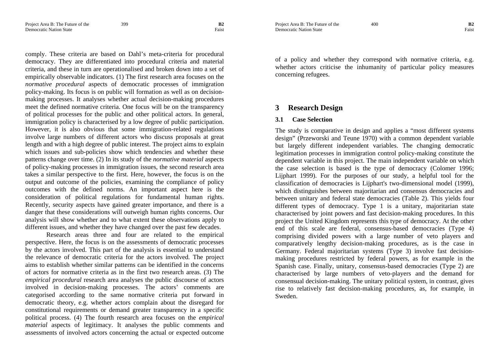Project Area B: The Future of the 400 **B2** Democratic Nation State Faist **Faist** 

comply. These criteria are based on Dahl's meta-criteria for procedural democracy. They are differentiated into procedural criteria and material criteria, and these in turn are operationalised and broken down into a set of empirically observable indicators. (1) The first research area focuses on the *normative procedural* aspects of democratic processes of immigration policy-making. Its focus is on public will formation as well as on decisionmaking processes. It analyses whether actual decision-making procedures meet the defined normative criteria. One focus will be on the transparency of political processes for the public and other political actors. In general, immigration policy is characterised by a low degree of public participation. However, it is also obvious that some immigration-related regulations involve large numbers of different actors who discuss proposals at great length and with a high degree of public interest. The project aims to explain which issues and sub-policies show which tendencies and whether these patterns change over time. (2) In its study of the *normative material* aspects of policy-making processes in immigration issues, the second research area takes a similar perspective to the first. Here, however, the focus is on the output and outcome of the policies, examining the compliance of policy outcomes with the defined norms. An important aspect here is the consideration of political regulations for fundamental human rights. Recently, security aspects have gained greater importance, and there is a danger that these considerations will outweigh human rights concerns. Our analysis will show whether and to what extent these observations apply to different issues, and whether they have changed over the past few decades.

Research areas three and four are related to the empirical perspective. Here, the focus is on the assessments of democratic processes by the actors involved. This part of the analysis is essential to understand the relevance of democratic criteria for the actors involved. The project aims to establish whether similar patterns can be identified in the concerns of actors for normative criteria as in the first two research areas. (3) The *empirical procedural* research area analyses the public discourse of actors involved in decision-making processes. The actors' comments are categorised according to the same normative criteria put forward in democratic theory, e.g. whether actors complain about the disregard for constitutional requirements or demand greater transparency in a specific political process. (4) The fourth research area focuses on the *empirical material* aspects of legitimacy. It analyses the public comments and assessments of involved actors concerning the actual or expected outcome

of a policy and whether they correspond with normative criteria, e.g. whether actors criticise the inhumanity of particular policy measures concerning refugees.

#### **3Research Design**

#### **3.1Case Selection**

The study is comparative in design and applies a "most different systems design" (Przeworski and Teune 1970) with a common dependent variable but largely different independent variables. The changing democratic legitimation processes in immigration control policy-making constitute the dependent variable in this project. The main independent variable on which the case selection is based is the type of democracy (Colomer 1996; Lijphart 1999). For the purposes of our study, a helpful tool for the classification of democracies is Lijphart's two-dimensional model (1999), which distinguishes between majoritarian and consensus democracies and between unitary and federal state democracies (Table 2). This yields four different types of democracy. Type 1 is a unitary, majoritarian state characterised by joint powers and fast decision-making procedures. In this project the United Kingdom represents this type of democracy. At the other end of this scale are federal, consensus-based democracies (Type 4) comprising divided powers with a large number of veto players and comparatively lengthy decision-making procedures, as is the case in Germany. Federal majoritarian systems (Type 3) involve fast decisionmaking procedures restricted by federal powers, as for example in the Spanish case. Finally, unitary, consensus-based democracies (Type 2) are characterised by large numbers of veto-players and the demand for consensual decision-making. The unitary political system, in contrast, gives rise to relatively fast decision-making procedures, as, for example, in Sweden.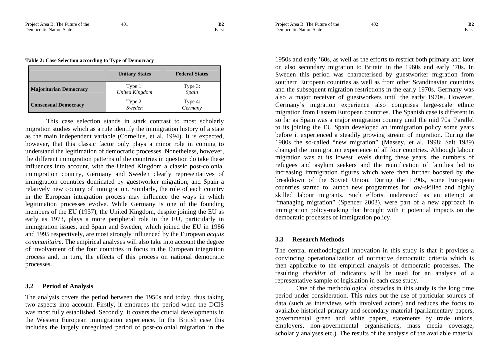|  | Table 2: Case Selection according to Type of Democracy |
|--|--------------------------------------------------------|
|--|--------------------------------------------------------|

|                               | <b>Unitary States</b>            | <b>Federal States</b> |
|-------------------------------|----------------------------------|-----------------------|
| <b>Majoritarian Democracy</b> | Type 1:<br><b>United Kingdom</b> | Type 3:<br>Spain      |
| <b>Consensual Democracy</b>   | Type 2:<br>Sweden                | Type 4:<br>Germany    |

This case selection stands in stark contrast to most scholarly migration studies which as a rule identify the immigration history of a state as the main independent variable (Cornelius, et al. 1994). It is expected, however, that this classic factor only plays a minor role in coming to understand the legitimation of democratic processes. Nonetheless, however, the different immigration patterns of the countries in question do take these influences into account, with the United Kingdom a classic post-colonial immigration country, Germany and Sweden clearly representatives of immigration countries dominated by guestworker migration, and Spain a relatively new country of immigration. Similarly, the role of each country in the European integration process may influence the ways in which legitimation processes evolve. While Germany is one of the founding members of the EU (1957), the United Kingdom, despite joining the EU as early as 1973, plays a more peripheral role in the EU, particularly in immigration issues, and Spain and Sweden, which joined the EU in 1986 and 1995 respectively, are most strongly influenced by the European *acquis communitaire*. The empirical analyses will also take into account the degree of involvement of the four countries in focus in the European integration process and, in turn, the effects of this process on national democratic processes.

# **3.2 Period of Analysis**

The analysis covers the period between the 1950s and today, thus taking two aspects into account. Firstly, it embraces the period when the DCIS was most fully established. Secondly, it covers the crucial developments in the Western European immigration experience. In the British case this includes the largely unregulated period of post-colonial migration in the 1950s and early '60s, as well as the efforts to restrict both primary and later on also secondary migration to Britain in the 1960s and early '70s. In Sweden this period was characterised by guestworker migration from southern European countries as well as from other Scandinavian countries and the subsequent migration restrictions in the early 1970s. Germany was also a major receiver of guestworkers until the early 1970s. However, Germany's migration experience also comprises large-scale ethnic migration from Eastern European countries. The Spanish case is different in so far as Spain was a major emigration country until the mid 70s. Parallel to its joining the EU Spain developed an immigration policy some years before it experienced a steadily growing stream of migration. During the 1980s the so-called "new migration" (Massey, et al. 1998; Salt 1989) changed the immigration experience of all four countries. Although labour migration was at its lowest levels during these years, the numbers of refugees and asylum seekers and the reunification of families led to increasing immigration figures which were then further boosted by the breakdown of the Soviet Union. During the 1990s, some European

countries started to launch new programmes for low-skilled and highly skilled labour migrants. Such efforts, understood as an attempt at "managing migration" (Spencer 2003), were part of a new approach in immigration policy-making that brought with it potential impacts on the democratic processes of immigration policy.

#### **3.3Research Methods**

The central methodological innovation in this study is that it provides a convincing operationalization of normative democratic criteria which is then applicable to the empirical analysis of democratic processes. The resulting *checklist* of indicators will be used for an analysis of a representative sample of legislation in each case study.

One of the methodological obstacles in this study is the long time period under consideration. This rules out the use of particular sources of data (such as interviews with involved actors) and reduces the focus to available historical primary and secondary material (parliamentary papers, governmental green and white papers, statements by trade unions, employers, non-governmental organisations, mass media coverage, scholarly analyses etc.). The results of the analysis of the available material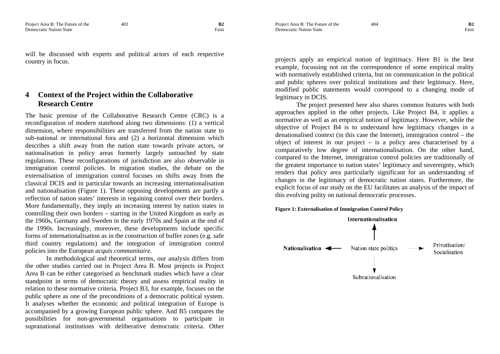will be discussed with experts and political actors of each respective country in focus.

## **4 Context of the Project within the Collaborative Research Centre**

The basic premise of the Collaborative Research Centre (CRC) is a reconfiguration of modern statehood along two dimensions: (1) a vertical dimension, where responsibilities are transferred from the nation state to sub-national or international fora and (2) a horizontal dimension which describes a shift away from the nation state towards private actors, or nationalisation in policy areas formerly largely untouched by state regulations. These reconfigurations of jurisdiction are also observable in immigration control policies. In migration studies, the debate on the externalisation of immigration control focuses on shifts away from the classical DCIS and in particular towards an increasing internationalisation and nationalisation (Figure 1). These opposing developments are partly a reflection of nation states' interests in regaining control over their borders. More fundamentally, they imply an increasing interest by nation states in controlling their own borders – starting in the United Kingdom as early as the 1960s, Germany and Sweden in the early 1970s and Spain at the end of the 1990s. Increasingly, moreover, these developments include specific forms of internationalisation as in the construction of buffer zones (e.g. safe third country regulations) and the integration of immigration control policies into the European *acquis communitaire*.

In methodological and theoretical terms, our analysis differs from the other studies carried out in Project Area B. Most projects in Project Area B can be either categorised as benchmark studies which have a clear standpoint in terms of democratic theory and assess empirical reality in relation to these normative criteria. Project B3, for example, focuses on the public sphere as one of the preconditions of a democratic political system. It analyses whether the economic and political integration of Europe is accompanied by a growing European public sphere. And B5 compares the possibilities for non-governmental organisations to participate in supranational institutions with deliberative democratic criteria. Other projects apply an empirical notion of legitimacy. Here B1 is the best example, focussing not on the correspondence of some empirical reality with normatively established criteria, but on communication in the political and public spheres over political institutions and their legitimacy. Here, modified public statements would correspond to a changing mode of legitimacy in DCIS.

The project presented here also shares common features with both approaches applied in the other projects. Like Project B4, it applies a normative as well as an empirical notion of legitimacy. However, while the objective of Project B4 is to understand how legitimacy changes in a denationalised context (in this case the Internet), immigration control – the object of interest in our project – is a policy area characterised by a comparatively low degree of internationalisation. On the other hand, compared to the Internet, immigration control policies are traditionally of the greatest importance to nation states' legitimacy and sovereignty, which renders that policy area particularly significant for an understanding of changes in the legitimacy of democratic nation states. Furthermore, the explicit focus of our study on the EU facilitates an analysis of the impact of this evolving polity on national democratic processes.





Project Area B: The Future of the 404 **B2** Democratic Nation State Faist **Faist**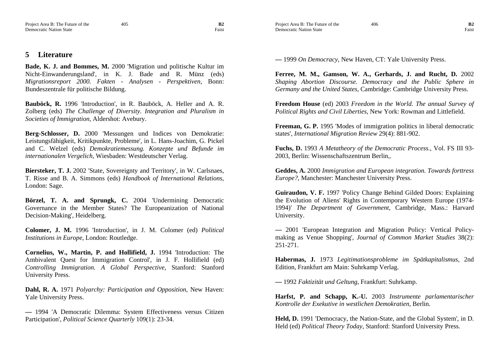#### **5Literature**

**Bade, K. J. and Bommes, M.** 2000 'Migration und politische Kultur im Nicht-Einwanderungsland', in K. J. Bade and R. Münz (eds) *Migrationsreport 2000. Fakten - Analysen - Perspektiven*, Bonn: Bundeszentrale für politische Bildung.

**Bauböck, R.** 1996 'Introduction', in R. Bauböck, A. Heller and A. R. Zolberg (eds) *The Challenge of Diversity. Integration and Pluralism in Societies of Immigration*, Aldershot: Avebury.

**Berg-Schlosser, D.** 2000 'Messungen und Indices von Demokratie: Leistungsfähigkeit, Kritikpunkte, Probleme', in L. Hans-Joachim, G. Pickel and C. Welzel (eds) *Demokratiemessung. Konzepte und Befunde im internationalen Vergelich*, Wiesbaden: Westdeutscher Verlag.

**Biersteker, T. J.** 2002 'State, Sovereignty and Territory', in W. Carlsnaes, T. Risse and B. A. Simmons (eds) *Handbook of International Relations*, London: Sage.

**Börzel, T. A. and Sprungk, C.** 2004 'Undermining Democratic Governance in the Member States? The Europeanization of National Decision-Making', Heidelberg.

**Colomer, J. M.** 1996 'Introduction', in J. M. Colomer (ed) *Political Institutions in Europe*, London: Routledge.

**Cornelius, W., Martin, P. and Hollifield, J.** 1994 'Introduction: The Ambivalent Quest for Immigration Control', in J. F. Hollifield (ed) *Controlling Immigration. A Global Perspective*, Stanford: Stanford University Press.

**Dahl, R. A.** 1971 *Polyarchy: Participation and Opposition*, New Haven: Yale University Press.

**—** 1994 'A Democratic Dilemma: System Effectiveness versus Citizen Participation', *Political Science Quarterly* 109(1): 23-34.

Project Area B: The Future of the 406 **B2 Democratic Nation State** Faist

**—** 1999 *On Democracy*, New Haven, CT: Yale University Press.

**Ferree, M. M., Gamson, W. A., Gerhards, J. and Rucht, D.** 2002 *Shaping Abortion Discourse. Democracy and the Public Sphere in Germany and the United States*, Cambridge: Cambridge University Press.

**Freedom House** (ed) 2003 *Freedom in the World. The annual Survey of Political Rights and Civil Liberties*, New York: Rowman and Littlefield.

**Freeman, G. P.** 1995 'Modes of immigration politics in liberal democratic states', *International Migration Review* 29(4): 881-902.

**Fuchs, D.** 1993 *A Metatheory of the Democratic Process.*, Vol. FS III 93- 2003, Berlin: Wissenschaftszentrum Berlin,.

**Geddes, A.** 2000 *Immigration and European integration. Towards forttress Europe?*, Manchester: Manchester University Press.

**Guiraudon, V. F.** 1997 'Policy Change Behind Gilded Doors: Explaining the Evolution of Aliens' Rights in Contemporary Western Europe (1974- 1994)' *The Department of Government*, Cambridge, Mass.: Harvard University.

**—** 2001 'European Integration and Migration Policy: Vertical Policymaking as Venue Shopping', *Journal of Common Market Studies* 38(2): 251-271.

**Habermas, J.** 1973 *Legitimationsprobleme im Spätkapitalismus*, 2nd Edition, Frankfurt am Main: Suhrkamp Verlag.

**—** 1992 *Faktizität und Geltung*, Frankfurt: Suhrkamp.

**Harfst, P. and Schapp, K.-U.** 2003 *Instrumente parlamentarischer Kontrolle der Exekutive in westlichen Demokratien*, Berlin.

**Held, D.** 1991 'Democracy, the Nation-State, and the Global System', in D. Held (ed) *Political Theory Today*, Stanford: Stanford University Press.